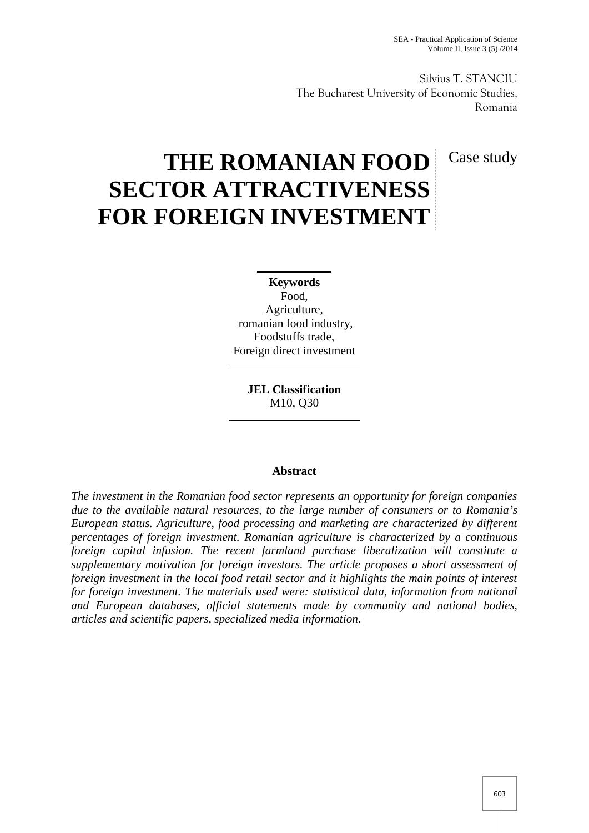Silvius T. STANCIU The Bucharest University of Economic Studies, Romania

# Case study

# **THE ROMANIAN FOOD SECTOR ATTRACTIVENESS FOR FOREIGN INVESTMENT**

**Keywords** Food, Agriculture, romanian food industry, Foodstuffs trade, Foreign direct investment

> **JEL Classification** M10, Q30

# **Abstract**

*The investment in the Romanian food sector represents an opportunity for foreign companies due to the available natural resources, to the large number of consumers or to Romania's European status. Agriculture, food processing and marketing are characterized by different percentages of foreign investment. Romanian agriculture is characterized by a continuous foreign capital infusion. The recent farmland purchase liberalization will constitute a supplementary motivation for foreign investors. The article proposes a short assessment of foreign investment in the local food retail sector and it highlights the main points of interest for foreign investment. The materials used were: statistical data, information from national and European databases, official statements made by community and national bodies, articles and scientific papers, specialized media information.*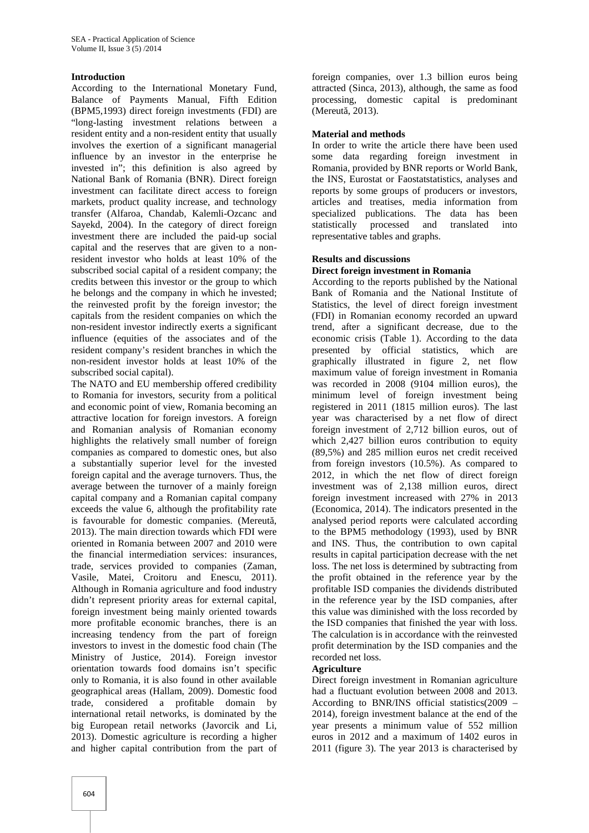## **Introduction**

According to the International Monetary Fund, Balance of Payments Manual, Fifth Edition (BPM5,1993) direct foreign investments (FDI) are "long-lasting investment relations between a resident entity and a non-resident entity that usually involves the exertion of a significant managerial influence by an investor in the enterprise he invested in"; this definition is also agreed by National Bank of Romania (BNR). Direct foreign investment can facilitate direct access to foreign markets, product quality increase, and technology transfer (Alfaroa, Chandab, Kalemli-Ozcanc and Sayekd, 2004). In the category of direct foreign investment there are included the paid-up social capital and the reserves that are given to a nonresident investor who holds at least 10% of the subscribed social capital of a resident company; the credits between this investor or the group to which he belongs and the company in which he invested; the reinvested profit by the foreign investor; the capitals from the resident companies on which the non-resident investor indirectly exerts a significant influence (equities of the associates and of the resident company's resident branches in which the non-resident investor holds at least 10% of the subscribed social capital).

The NATO and EU membership offered credibility to Romania for investors, security from a political and economic point of view, Romania becoming an attractive location for foreign investors. A foreign and Romanian analysis of Romanian economy highlights the relatively small number of foreign companies as compared to domestic ones, but also a substantially superior level for the invested foreign capital and the average turnovers. Thus, the average between the turnover of a mainly foreign capital company and a Romanian capital company exceeds the value 6, although the profitability rate is favourable for domestic companies. (Mereut, 2013). The main direction towards which FDI were oriented in Romania between 2007 and 2010 were the financial intermediation services: insurances, trade, services provided to companies (Zaman, Vasile, Matei, Croitoru and Enescu, 2011). Although in Romania agriculture and food industry didn't represent priority areas for external capital, foreign investment being mainly oriented towards more profitable economic branches, there is an increasing tendency from the part of foreign investors to invest in the domestic food chain (The Ministry of Justice, 2014). Foreign investor orientation towards food domains isn't specific only to Romania, it is also found in other available geographical areas (Hallam, 2009). Domestic food trade, considered a profitable domain by international retail networks, is dominated by the big European retail networks (Javorcik and Li, 2013). Domestic agriculture is recording a higher and higher capital contribution from the part of

foreign companies, over 1.3 billion euros being attracted (Sinca, 2013), although, the same as food processing, domestic capital is predominant (Mereut, 2013).

## **Material and methods**

In order to write the article there have been used some data regarding foreign investment in Romania, provided by BNR reports or World Bank, the INS, Eurostat or Faostatstatistics, analyses and reports by some groups of producers or investors, articles and treatises, media information from specialized publications. The data has been statistically processed and translated into representative tables and graphs.

# **Results and discussions**

# **Direct foreign investment in Romania**

According to the reports published by the National Bank of Romania and the National Institute of Statistics, the level of direct foreign investment (FDI) in Romanian economy recorded an upward trend, after a significant decrease, due to the economic crisis (Table 1). According to the data presented by official statistics, which are graphically illustrated in figure 2, net flow maximum value of foreign investment in Romania was recorded in 2008 (9104 million euros), the minimum level of foreign investment being registered in 2011 (1815 million euros). The last year was characterised by a net flow of direct foreign investment of 2,712 billion euros, out of which 2,427 billion euros contribution to equity (89,5%) and 285 million euros net credit received from foreign investors (10.5%). As compared to 2012, in which the net flow of direct foreign investment was of 2,138 million euros, direct foreign investment increased with 27% in 2013 (Economica, 2014). The indicators presented in the analysed period reports were calculated according to the BPM5 methodology (1993), used by BNR and INS. Thus, the contribution to own capital results in capital participation decrease with the net loss. The net loss is determined by subtracting from the profit obtained in the reference year by the profitable ISD companies the dividends distributed in the reference year by the ISD companies, after this value was diminished with the loss recorded by the ISD companies that finished the year with loss. The calculation is in accordance with the reinvested profit determination by the ISD companies and the recorded net loss.

#### **Agriculture**

Direct foreign investment in Romanian agriculture had a fluctuant evolution between 2008 and 2013. According to BNR/INS official statistics(2009 – 2014), foreign investment balance at the end of the year presents a minimum value of 552 million euros in 2012 and a maximum of 1402 euros in 2011 (figure 3). The year 2013 is characterised by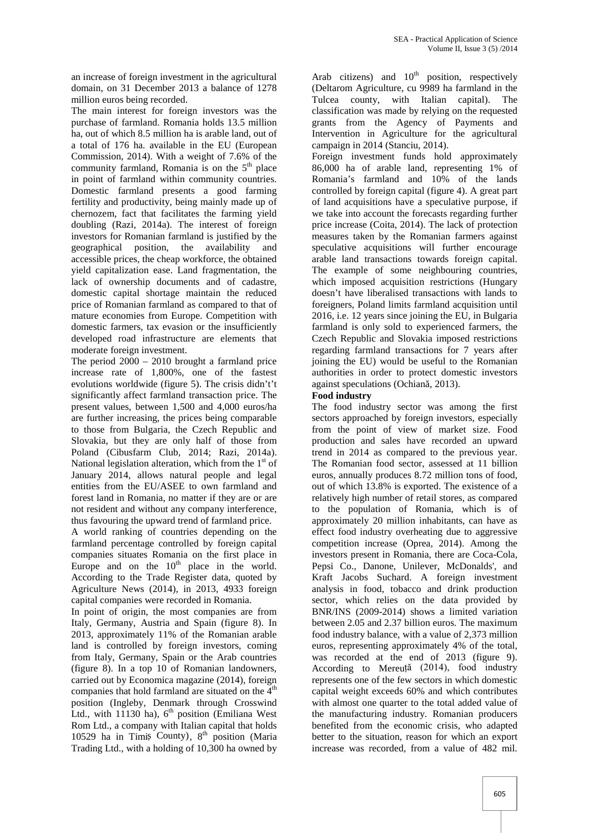an increase of foreign investment in the agricultural domain, on 31 December 2013 a balance of 1278 million euros being recorded.

The main interest for foreign investors was the purchase of farmland. Romania holds 13.5 million ha, out of which 8.5 million ha is arable land, out of a total of 176 ha. available in the EU (European Commission, 2014). With a weight of 7.6% of the community farmland, Romania is on the  $5<sup>th</sup>$  place in point of farmland within community countries. Domestic farmland presents a good farming fertility and productivity, being mainly made up of chernozem, fact that facilitates the farming yield doubling (Razi, 2014a). The interest of foreign investors for Romanian farmland is justified by the geographical position, the availability and accessible prices, the cheap workforce, the obtained yield capitalization ease. Land fragmentation, the lack of ownership documents and of cadastre, domestic capital shortage maintain the reduced price of Romanian farmland as compared to that of mature economies from Europe. Competition with domestic farmers, tax evasion or the insufficiently developed road infrastructure are elements that moderate foreign investment.

The period 2000 – 2010 brought a farmland price increase rate of 1,800%, one of the fastest evolutions worldwide (figure 5). The crisis didn't't significantly affect farmland transaction price. The present values, between 1,500 and 4,000 euros/ha are further increasing, the prices being comparable to those from Bulgaria, the Czech Republic and Slovakia, but they are only half of those from Poland (Cibusfarm Club, 2014; Razi, 2014a). National legislation alteration, which from the  $1<sup>st</sup>$  of January 2014, allows natural people and legal entities from the EU/ASEE to own farmland and forest land in Romania, no matter if they are or are not resident and without any company interference, thus favouring the upward trend of farmland price.

A world ranking of countries depending on the farmland percentage controlled by foreign capital companies situates Romania on the first place in Europe and on the  $10<sup>th</sup>$  place in the world. According to the Trade Register data, quoted by Agriculture News (2014), in 2013, 4933 foreign capital companies were recorded in Romania.

In point of origin, the most companies are from Italy, Germany, Austria and Spain (figure 8). In 2013, approximately 11% of the Romanian arable land is controlled by foreign investors, coming from Italy, Germany, Spain or the Arab countries (figure 8). In a top 10 of Romanian landowners, carried out by Economica magazine (2014), foreign companies that hold farmland are situated on the  $4<sup>th</sup>$ position (Ingleby, Denmark through Crosswind Ltd., with 11130 ha),  $6<sup>th</sup>$  position (Emiliana West Rom Ltd., a company with Italian capital that holds 10529 ha in Timi County),  $8<sup>th</sup>$  position (Maria Trading Ltd., with a holding of 10,300 ha owned by

Arab citizens) and  $10<sup>th</sup>$  position, respectively (Deltarom Agriculture, cu 9989 ha farmland in the Tulcea county, with Italian capital). The classification was made by relying on the requested grants from the Agency of Payments and Intervention in Agriculture for the agricultural campaign in 2014 (Stanciu, 2014).

Foreign investment funds hold approximately 86,000 ha of arable land, representing 1% of Romania's farmland and 10% of the lands controlled by foreign capital (figure 4). A great part of land acquisitions have a speculative purpose, if we take into account the forecasts regarding further price increase (Coita, 2014). The lack of protection measures taken by the Romanian farmers against speculative acquisitions will further encourage arable land transactions towards foreign capital. The example of some neighbouring countries, which imposed acquisition restrictions (Hungary doesn't have liberalised transactions with lands to foreigners, Poland limits farmland acquisition until 2016, i.e. 12 years since joining the EU, in Bulgaria farmland is only sold to experienced farmers, the Czech Republic and Slovakia imposed restrictions regarding farmland transactions for 7 years after joining the EU) would be useful to the Romanian authorities in order to protect domestic investors against speculations (Ochian, 2013).

# **Food industry**

The food industry sector was among the first sectors approached by foreign investors, especially from the point of view of market size. Food production and sales have recorded an upward trend in 2014 as compared to the previous year. The Romanian food sector, assessed at 11 billion euros, annually produces 8.72 million tons of food, out of which 13.8% is exported. The existence of a relatively high number of retail stores, as compared to the population of Romania, which is of approximately 20 million inhabitants, can have as effect food industry overheating due to aggressive competition increase (Oprea, 2014). Among the investors present in Romania, there are Coca-Cola, Pepsi Co., Danone, Unilever, McDonalds', and Kraft Jacobs Suchard. A foreign investment analysis in food, tobacco and drink production sector, which relies on the data provided by BNR/INS (2009-2014) shows a limited variation between 2.05 and 2.37 billion euros. The maximum food industry balance, with a value of 2,373 million euros, representing approximately 4% of the total, was recorded at the end of 2013 (figure 9). According to Mereuță (2014), food industry represents one of the few sectors in which domestic capital weight exceeds 60% and which contributes with almost one quarter to the total added value of the manufacturing industry. Romanian producers benefited from the economic crisis, who adapted better to the situation, reason for which an export increase was recorded, from a value of 482 mil.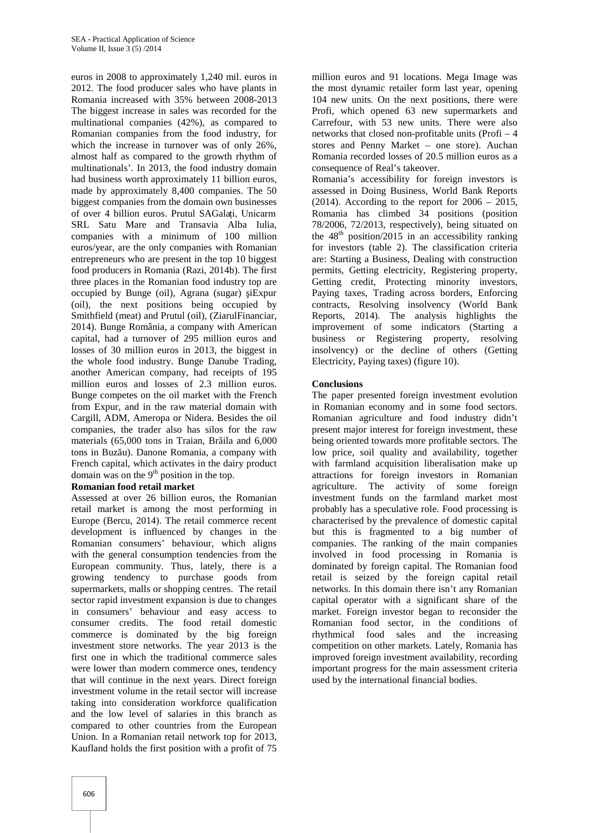euros in 2008 to approximately 1,240 mil. euros in 2012. The food producer sales who have plants in Romania increased with 35% between 2008-2013 The biggest increase in sales was recorded for the multinational companies (42%), as compared to Romanian companies from the food industry, for which the increase in turnover was of only 26%, almost half as compared to the growth rhythm of multinationals'. In 2013, the food industry domain had business worth approximately 11 billion euros, made by approximately 8,400 companies. The 50 biggest companies from the domain own businesses of over 4 billion euros. Prutul SAGalați, Unicarm SRL Satu Mare and Transavia Alba Iulia, companies with a minimum of 100 million euros/year, are the only companies with Romanian entrepreneurs who are present in the top 10 biggest food producers in Romania (Razi, 2014b). The first three places in the Romanian food industry top are occupied by Bunge (oil), Agrana (sugar) iExpur (oil), the next positions being occupied by Smithfield (meat) and Prutul (oil), (ZiarulFinanciar, 2014). Bunge România, a company with American capital, had a turnover of 295 million euros and losses of 30 million euros in 2013, the biggest in the whole food industry. Bunge Danube Trading, another American company, had receipts of 195 million euros and losses of 2.3 million euros. Bunge competes on the oil market with the French from Expur, and in the raw material domain with Cargill, ADM, Ameropa or Nidera. Besides the oil companies, the trader also has silos for the raw materials  $(65,000)$  tons in Traian, Br ila and  $6,000$ tons in Buz u). Danone Romania, a company with French capital, which activates in the dairy product domain was on the  $9<sup>th</sup>$  position in the top.

#### **Romanian food retail market**

Assessed at over 26 billion euros, the Romanian retail market is among the most performing in Europe (Bercu, 2014). The retail commerce recent development is influenced by changes in the Romanian consumers' behaviour, which aligns with the general consumption tendencies from the European community. Thus, lately, there is a growing tendency to purchase goods from supermarkets, malls or shopping centres. The retail sector rapid investment expansion is due to changes in consumers' behaviour and easy access to consumer credits. The food retail domestic commerce is dominated by the big foreign investment store networks. The year 2013 is the first one in which the traditional commerce sales were lower than modern commerce ones, tendency that will continue in the next years. Direct foreign investment volume in the retail sector will increase taking into consideration workforce qualification and the low level of salaries in this branch as compared to other countries from the European Union. In a Romanian retail network top for 2013, Kaufland holds the first position with a profit of 75

million euros and 91 locations. Mega Image was the most dynamic retailer form last year, opening 104 new units. On the next positions, there were Profi, which opened 63 new supermarkets and Carrefour, with 53 new units. There were also networks that closed non-profitable units (Profi – 4 stores and Penny Market – one store). Auchan Romania recorded losses of 20.5 million euros as a consequence of Real's takeover.

Romania's accessibility for foreign investors is assessed in Doing Business, World Bank Reports  $(2014)$ . According to the report for  $2006 - 2015$ , Romania has climbed 34 positions (position 78/2006, 72/2013, respectively), being situated on the  $48<sup>th</sup>$  position/2015 in an accessibility ranking for investors (table 2). The classification criteria are: Starting a Business, Dealing with construction permits, Getting electricity, Registering property, Getting credit, Protecting minority investors, Paying taxes, Trading across borders, Enforcing contracts, Resolving insolvency (World Bank Reports, 2014). The analysis highlights the improvement of some indicators (Starting a business or Registering property, resolving insolvency) or the decline of others (Getting Electricity, Paying taxes) (figure 10).

#### **Conclusions**

The paper presented foreign investment evolution in Romanian economy and in some food sectors. Romanian agriculture and food industry didn't present major interest for foreign investment, these being oriented towards more profitable sectors. The low price, soil quality and availability, together with farmland acquisition liberalisation make up attractions for foreign investors in Romanian agriculture. The activity of some foreign investment funds on the farmland market most probably has a speculative role. Food processing is characterised by the prevalence of domestic capital but this is fragmented to a big number of companies. The ranking of the main companies involved in food processing in Romania is dominated by foreign capital. The Romanian food retail is seized by the foreign capital retail networks. In this domain there isn't any Romanian capital operator with a significant share of the market. Foreign investor began to reconsider the Romanian food sector, in the conditions of rhythmical food sales and the increasing competition on other markets. Lately, Romania has improved foreign investment availability, recording important progress for the main assessment criteria used by the international financial bodies.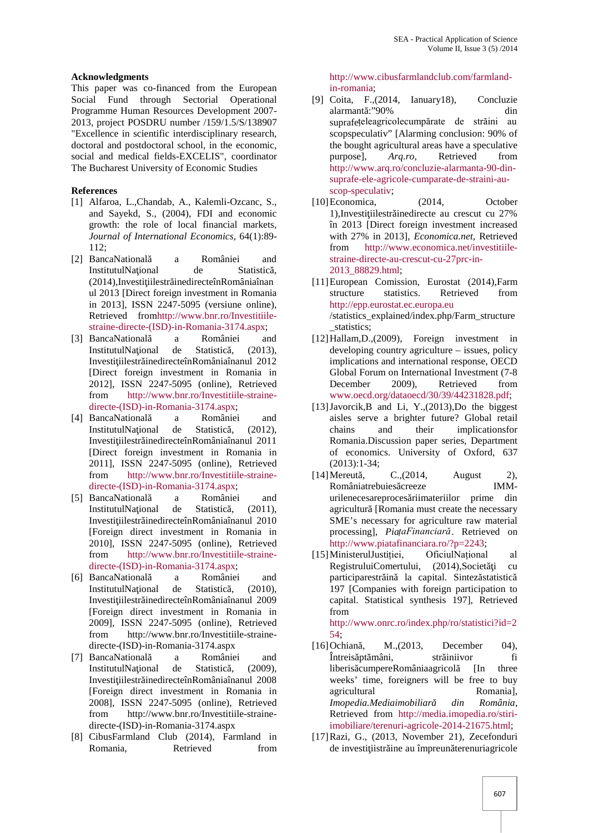## **Acknowledgments**

This paper was co-financed from the European Social Fund through Sectorial Operational Programme Human Resources Development 2007- 2013, project POSDRU number /159/1.5/S/138907 "Excellence in scientific interdisciplinary research, doctoral and postdoctoral school, in the economic, social and medical fields-EXCELIS", coordinator The Bucharest University of Economic Studies

# **References**

- [1] Alfaroa, L.,Chandab, A., Kalemli-Ozcanc, S., and Sayekd, S., (2004), FDI and economic growth: the role of local financial markets, *Journal of International Economics*, 64(1):89- 112;
- [2] BancaNational a României and InstitutulNa ional de Statistic, (2014),Investi iilestr inedirecteînRomâniaînan ul 2013 [Direct foreign investment in Romania in 2013], ISSN 2247-5095 (versiune online), Retrieved fromhttp://www.bnr.ro/Investitiile straine-directe-(ISD)-in-Romania-3174.aspx;
- [3] BancaNational a României and InstitutulNa ional de Statistic, (2013), Investi iilestr inedirecteînRomâniaînanul 2012 [Direct foreign investment in Romania in 2012], ISSN 2247-5095 (online), Retrieved from http://www.bnr.ro/Investitiile-straine directe-(ISD)-in-Romania-3174.aspx;
- [4] BancaNational a României and InstitutulNa ional de Statistic, (2012), Investi iilestr inedirecteînRomâniaînanul 2011 [Direct foreign investment in Romania in 2011], ISSN 2247-5095 (online), Retrieved from http://www.bnr.ro/Investitiile-straine directe-(ISD)-in-Romania-3174.aspx;
- [5] BancaNational a României and InstitutulNa ional de Statistic, (2011), Investi iilestr inedirecteînRomâniaînanul 2010 [Foreign direct investment in Romania in 2010], ISSN 2247-5095 (online), Retrieved from http://www.bnr.ro/Investitiile-straine directe-(ISD)-in-Romania-3174.aspx;
- [6] BancaNational a României and InstitutulNa ional de Statistic, (2010), Investi iilestr inedirecteînRomâniaînanul 2009 [Foreign direct investment in Romania in 2009], ISSN 2247-5095 (online), Retrieved from http://www.bnr.ro/Investitiile-straine directe-(ISD)-in-Romania-3174.aspx
- [7] BancaNational a României and InstitutulNa ional de Statistic, (2009), Investi iilestr inedirecteînRomâniaînanul 2008 [Foreign direct investment in Romania in 2008], ISSN 2247-5095 (online), Retrieved from http://www.bnr.ro/Investitiile-straine directe-(ISD)-in-Romania-3174.aspx
- [8] CibusFarmland Club (2014), Farmland in Romania, Retrieved from

http://www.cibusfarmlandclub.com/farmlandin-romania;

- [9] Coita, F.,(2014, Ianuary18), Concluzie alarmant :"90% din suprafețeleagricolecumpărate de străini au scopspeculativ" [Alarming conclusion: 90% of the bought agricultural areas have a speculative<br>purposel.  $Area, ro$ . Retrieved from purpose], *Arq.ro,* Retrieved from http://www.arq.ro/concluzie-alarmanta-90-din suprafe-ele-agricole-cumparate-de-straini-au scop-speculativ;
- [10]Economica, (2014, October 1), Investi iilestr inedirecte au crescut cu 27% în 2013 [Direct foreign investment increased with 27% in 2013], *Economica.net*, Retrieved from http://www.economica.net/investitiile straine-directe-au-crescut-cu-27prc-in- 2013\_88829.html;
- [11]European Comission, Eurostat (2014),Farm structure statistics. Retrieved from http://epp.eurostat.ec.europa.eu /statistics\_explained/index.php/Farm\_structure \_statistics;
- [12]Hallam,D.,(2009), Foreign investment in developing country agriculture – issues, policy implications and international response, OECD Global Forum on International Investment (7-8 December 2009), Retrieved from www.oecd.org/dataoecd/30/39/44231828.pdf;
- [13]Javorcik,B and Li, Y.,(2013),Do the biggest aisles serve a brighter future? Global retail chains and their implicationsfor Romania.Discussion paper series, Department of economics. University of Oxford, 637 (2013):1-34;
- $[14]$ Mereut, C., $(2014,$  August 2), Româniatrebuies creeze **IMM**urilenecesareproces riimateriilor prime din agricultur [Romania must create the necessary SME's necessary for agriculture raw material processing], *PiațaFinanciară*. Retrieved on http://www.piatafinanciara.ro/?p=2243;
- [15]MinisterulJustiției, OficiulNațional al RegistruluiComertului, (2014),Societ i cu participarestr in la capital. Sintez statistic 197 [Companies with foreign participation to capital. Statistical synthesis 197], Retrieved from http://www.onrc.ro/index.php/ro/statistici?id=2
- 54;  $[16]$ Ochian, M.,(2013, December 04), Întreis pt mâni, străiniivor fi liberis cumpereRomâniaagricol [In three weeks' time, foreigners will be free to buy agricultural Romanial, *Imopedia.Mediaimobiliară din România*, Retrieved from http://media.imopedia.ro/stiriimobiliare/terenuri-agricole-2014-21675.html;
- [17]Razi, G., (2013, November 21), Zecefonduri de investi iistr ine au împreun terenuriagricole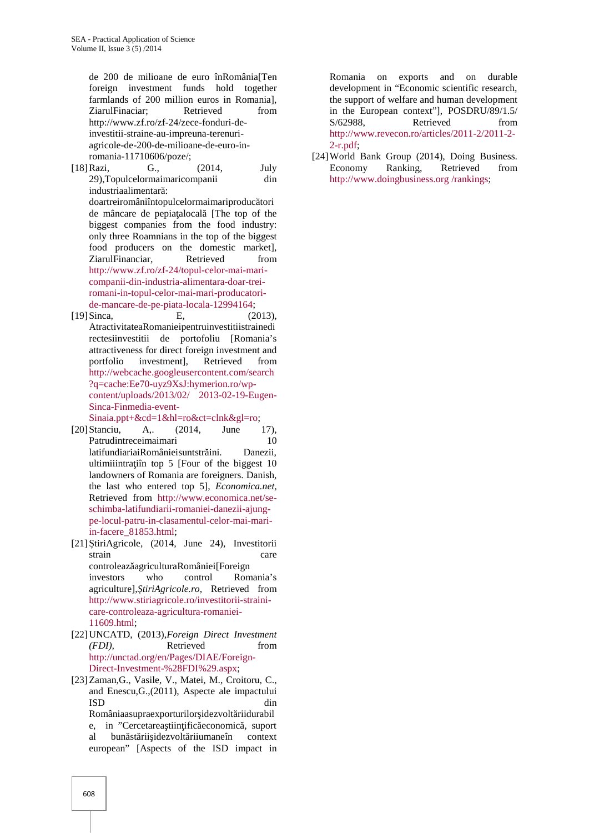de 200 de milioane de euro înRomânia[Ten foreign investment funds hold together farmlands of 200 million euros in Romania], ZiarulFinaciar; Retrieved from http://www.zf.ro/zf-24/zece-fonduri-deinvestitii-straine-au-impreuna-terenuri agricole-de-200-de-milioane-de-euro-inromania-11710606/poze/;

- [18]Razi, G., (2014, July 29),Topulcelormaimaricompanii din industriaalimentar : doartreiromâniîntopulcelormaimariproduc tori de mâncare de pepia alocal [The top of the biggest companies from the food industry: only three Roamnians in the top of the biggest food producers on the domestic market], ZiarulFinanciar, Retrieved from http://www.zf.ro/zf-24/topul-celor-mai-mari companii-din-industria-alimentara-doar-treiromani-in-topul-celor-mai-mari-producatori de-mancare-de-pe-piata-locala-12994164;
- [19]Sinca, E, (2013), AtractivitateaRomanieipentruinvestitiistrainedi rectesiinvestitii de portofoliu [Romania's attractiveness for direct foreign investment and portfolio investment], Retrieved from http://webcache.googleusercontent.com/search ?q=cache:Ee70-uyz9XsJ:hymerion.ro/wp content/uploads/2013/02/ 2013-02-19-Eugen- Sinca-Finmedia-event-

Sinaia.ppt+&cd=1&hl=ro&ct=clnk&gl=ro;

- [20]Stanciu, A,. (2014, June 17), Patrudintreceimaimari 10 latifundiariaiRomânieisuntstr ini. Danezii, ultimiiintra iîn top 5 [Four of the biggest  $10$ landowners of Romania are foreigners. Danish, the last who entered top 5], *Economica.net,* Retrieved from http://www.economica.net/se schimba-latifundiarii-romaniei-danezii-ajung pe-locul-patru-in-clasamentul-celor-mai-mariin-facere\_81853.html;
- $[21]$  tiriAgricole,  $(2014,$  June 24), Investitorii strain care controleaz agriculturaRomâniei[Foreign investors who control Romania's agriculture], tiriAgricole.ro, Retrieved from http://www.stiriagricole.ro/investitorii-straini care-controleaza-agricultura-romaniei- 11609.html;
- [22]UNCATD, (2013),*Foreign Direct Investment (FDI),* Retrieved from http://unctad.org/en/Pages/DIAE/Foreign- Direct-Investment-%28FDI%29.aspx;
- [23]Zaman,G., Vasile, V., Matei, M., Croitoru, C., and Enescu,G.,(2011), Aspecte ale impactului ISD din Româniaasupraexporturilor idezvolt riidurabil e, in "Cercetarea tiin ific economic, suport al bun st rii idezvolt riiumaneîn context european" [Aspects of the ISD impact in

Romania on exports and on durable development in "Economic scientific research, the support of welfare and human development in the European context"], POSDRU/89/1.5/ S/62988. Retrieved from http://www.revecon.ro/articles/2011-2/2011-2- 2-r.pdf;

[24]World Bank Group (2014), Doing Business. Economy Ranking, Retrieved from http://www.doingbusiness.org /rankings;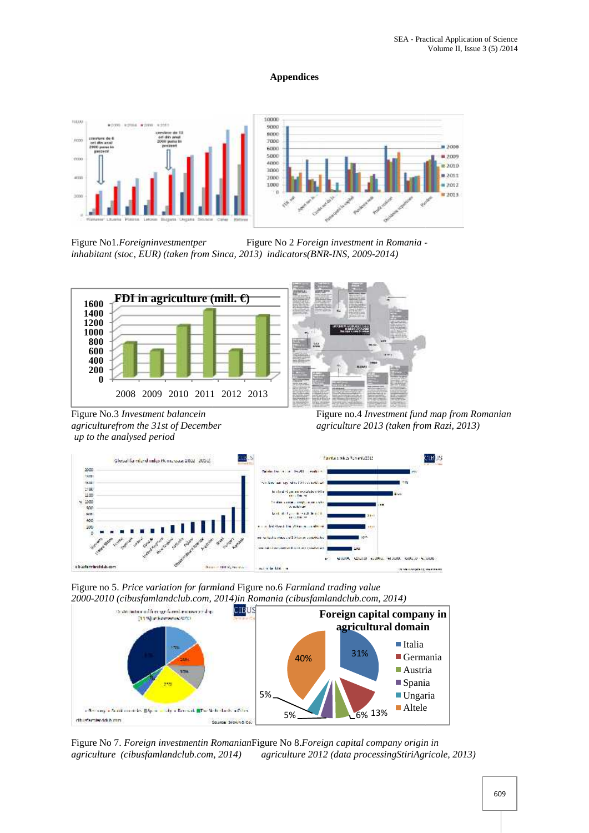# **Appendices**



Figure No1.*Foreigninvestmentper* Figure No 2 *Foreign investment in Romania inhabitant (stoc, EUR) (taken from Sinca, 2013) indicators(BNR-INS, 2009-2014)*



*up to the analysed period*



Figure No.3 *Investment balancein* Figure no.4 *Investment fund map from Romanian agriculturefrom the 31st of December agriculture 2013 (taken from Razi, 2013)*



Figure no 5. *Price variation for farmland* Figure no.6 *Farmland trading value 2000-2010 (cibusfamlandclub.com, 2014)in Romania (cibusfamlandclub.com, 2014)*



Figure No 7. *Foreign investmentin Romanian*Figure No 8.*Foreign capital company origin in agriculture (cibusfamlandclub.com, 2014) agriculture 2012 (data processingStiriAgricole, 2013)*